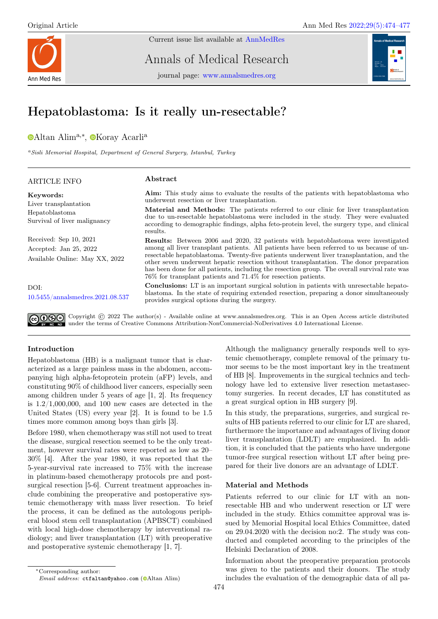

Current issue list available at [AnnMedRes](https://annalsmedres.org/index.php/aomr/issue/view/163)

Annals of Medical Research

journal page: [www.annalsmedres.org](https://www.annalsmedres.org)



# Hepatoblastoma: Is it really un-resectable?

[A](https://orcid.org/0000-0002-2739-7445)ltan Alim<sup>a,∗</sup>, <sup>®</sup>[K](https://orcid.org/0000-0001-6244-6153)oray Acarli<sup>a</sup>

<sup>a</sup>Sisli Memorial Hospital, Department of General Surgery, Istanbul, Turkey

| <b>ARTICLE INFO</b>                                                                  | Abstract                                                                                                                                                                                                                                                                                                                                                                                                                                                                                                                                           |
|--------------------------------------------------------------------------------------|----------------------------------------------------------------------------------------------------------------------------------------------------------------------------------------------------------------------------------------------------------------------------------------------------------------------------------------------------------------------------------------------------------------------------------------------------------------------------------------------------------------------------------------------------|
| Keywords:<br>Liver transplantation<br>Hepatoblastoma<br>Survival of liver malignancy | Aim: This study aims to evaluate the results of the patients with hepatoblastoma who<br>underwent resection or liver transplantation.<br><b>Material and Methods:</b> The patients referred to our clinic for liver transplantation<br>due to un-resectable hepatoblastoma were included in the study. They were evaluated<br>according to demographic findings, alpha feto-protein level, the surgery type, and clinical<br>results.                                                                                                              |
| Received: Sep 10, 2021<br>Accepted: Jan 25, 2022<br>Available Online: May XX, 2022   | <b>Results:</b> Between 2006 and 2020, 32 patients with hepatoblastoma were investigated<br>among all liver transplant patients. All patients have been referred to us because of un-<br>resectable hepatoblastoma. Twenty-five patients underwent liver transplantation, and the<br>other seven underwent hepatic resection without transplantation. The donor preparation<br>has been done for all patients, including the resection group. The overall survival rate was<br>$76\%$ for transplant patients and $71.4\%$ for resection patients. |
| DOI:<br>10.5455/annalsmedres.2021.08.537                                             | <b>Conclusions:</b> LT is an important surgical solution in patients with unresectable hepato-<br>blastoma. In the state of requiring extended resection, preparing a donor simultaneously<br>provides surgical options during the surgery.                                                                                                                                                                                                                                                                                                        |
|                                                                                      | $\bigcirc$ (i) $\bigcirc$ Copyright (c) 2022 The author(s) - Available online at www.annalsmedres.org. This is an Open Access article distributed                                                                                                                                                                                                                                                                                                                                                                                                  |

under the terms of Creative Commons Attribution-NonCommercial-NoDerivatives 4.0 International License.

# Introduction

Hepatoblastoma (HB) is a malignant tumor that is characterized as a large painless mass in the abdomen, accompanying high alpha-fetoprotein protein (aFP) levels, and constituting 90% of childhood liver cancers, especially seen among children under 5 years of age [1, 2]. Its frequency is  $1.2/1,000,000$ , and 100 new cases are detected in the United States (US) every year [2]. It is found to be 1.5 times more common among boys than girls [3].

Before 1980, when chemotherapy was still not used to treat the disease, surgical resection seemed to be the only treatment, however survival rates were reported as low as 20– 30% [4]. After the year 1980, it was reported that the 5-year-survival rate increased to 75% with the increase in platinum-based chemotherapy protocols pre and postsurgical resection [5-6]. Current treatment approaches include combining the preoperative and postoperative systemic chemotherapy with mass liver resection. To brief the process, it can be defined as the autologous peripheral blood stem cell transplantation (APBSCT) combined with local high-dose chemotherapy by interventional radiology; and liver transplantation (LT) with preoperative and postoperative systemic chemotherapy [1, 7].

In this study, the preparations, surgeries, and surgical results of HB patients referred to our clinic for LT are shared, furthermore the importance and advantages of living donor liver transplantation (LDLT) are emphasized. In addition, it is concluded that the patients who have undergone tumor-free surgical resection without LT after being prepared for their live donors are an advantage of LDLT.

# Material and Methods

Patients referred to our clinic for LT with an nonresectable HB and who underwent resection or LT were included in the study. Ethics committee approval was issued by Memorial Hospital local Ethics Committee, dated on 29.04.2020 with the decision no:2. The study was conducted and completed according to the principles of the Helsinki Declaration of 2008.

Information about the preoperative preparation protocols was given to the patients and their donors. The study includes the evaluation of the demographic data of all pa-

Although the malignancy generally responds well to systemic chemotherapy, complete removal of the primary tumor seems to be the most important key in the treatment of HB [8]. Improvements in the surgical technics and technology have led to extensive liver resection metastasectomy surgeries. In recent decades, LT has constituted as a great surgical option in HB surgery [9].

<sup>∗</sup>Corresponding author:

Email address: ctfaltan@yahoo.com [\(](https://orcid.org/0000-0002-2739-7445) $\bullet$ Altan Alim)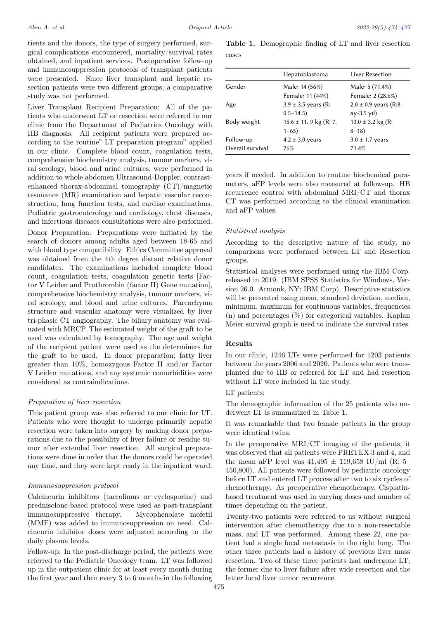tients and the donors, the type of surgery performed, surgical complications encountered, mortality/survival rates obtained, and inpatient services. Postoperative follow-up and immunosuppression protocols of transplant patients were presented. Since liver transplant and hepatic resection patients were two different groups, a comparative study was not performed.

Liver Transplant Recipient Preparation: All of the patients who underwent LT or resection were referred to our clinic from the Department of Pediatrics Oncology with HB diagnosis. All recipient patients were prepared according to the routine" LT preparation program" applied in our clinic. Complete blood count, coagulation tests, comprehensive biochemistry analysis, tumour markers, viral serology, blood and urine cultures, were performed in addition to whole abdomen Ultrasound-Doppler, contrastenhanced thorax-abdominal tomography (CT)/magnetic resonance (MR) examination and hepatic vascular reconstruction, lung function tests, and cardiac examinations. Pediatric gastroenterology and cardiology, chest diseases, and infectious diseases consultations were also performed.

Donor Preparation: Preparations were initiated by the search of donors among adults aged between 18-65 and with blood type compatibility. Ethics Committee approval was obtained from the 4th degree distant relative donor candidates. The examinations included complete blood count, coagulation tests, coagulation genetic tests [Factor V Leiden and Prothrombin (factor II) Gene mutation], comprehensive biochemistry analysis, tumour markers, viral serology, and blood and urine cultures. Parenchyma structure and vascular anatomy were visualized by liver tri-phasic CT angiography. The biliary anatomy was evaluated with MRCP. The estimated weight of the graft to be used was calculated by tomography. The age and weight of the recipient patient were used as the determiners for the graft to be used. In donor preparation; fatty liver greater than 10%, homozygous Factor II and/or Factor V Leiden mutations, and any systemic comorbidities were considered as contraindications.

#### Preparation of liver resection

This patient group was also referred to our clinic for LT. Patients who were thought to undergo primarily hepatic resection were taken into surgery by making donor preparations due to the possibility of liver failure or residue tumor after extended liver resection. All surgical preparations were done in order that the donors could be operated any time, and they were kept ready in the inpatient ward.

#### Immunosuppression protocol

Calcineurin inhibitors (tacrolimus or cyclosporine) and prednisolone-based protocol were used as post-transplant immunosuppressive therapy. Mycophenolate mofetil (MMF) was added to immunosuppression on need. Calcineurin inhibitor doses were adjusted according to the daily plasma levels.

Follow-up: In the post-discharge period, the patients were referred to the Pediatric Oncology team. LT was followed up in the outpatient clinic for at least every month during the first year and then every 3 to 6 months in the following

Table 1. Demographic finding of LT and liver resection cases

|                  | Hepatoblastoma            | Liver Resection           |
|------------------|---------------------------|---------------------------|
| Gender           | Male: 14 (56%)            | Male: 5 (71.4%)           |
|                  | Female: 11 (44%)          | Female: 2 (28.6%)         |
| Age              | $3.9 \pm 3.5$ years (R:   | $2.0 \pm 0.9$ years (R:8) |
|                  | $0.5 - 14.5$              | $ay-3.5$ yil)             |
| Body weight      | $15.6 \pm 11.9$ kg (R: 7. | $13.0 \pm 3.2$ kg (R:     |
|                  | $1 - 65$                  | $8 - 18$                  |
| Follow-up        | $4.2 \pm 3.0$ years       | $3.0 \pm 1.7$ years       |
| Overall survival | 76%                       | 71.4%                     |

years if needed. In addition to routine biochemical parameters, aFP levels were also measured at follow-up. HB recurrence control with abdominal MRI/CT and thorax CT was performed according to the clinical examination and aFP values.

#### Statistical analysis

According to the descriptive nature of the study, no comparisons were performed between LT and Resection groups.

Statistical analyses were performed using the IBM Corp. released in 2019. (IBM SPSS Statistics for Windows, Version 26.0. Armonk, NY: IBM Corp). Descriptive statistics will be presented using mean, standard deviation, median, minimum, maximum for continuous variables, frequencies (n) and percentages (%) for categorical variables. Kaplan Meier survival graph is used to indicate the survival rates.

## Results

In our clinic, 1246 LTs were performed for 1203 patients between the years 2006 and 2020. Patients who were transplanted due to HB or referred for LT and had resection without LT were included in the study.

#### LT patients:

The demographic information of the 25 patients who underwent LT is summarized in Table 1.

It was remarkable that two female patients in the group were identical twins.

In the preoperative MRI/CT imaging of the patients, it was observed that all patients were PRETEX 3 and 4, and the mean aFP level was  $41,495 \pm 119,658$  IU/ml (R: 5– 450,800). All patients were followed by pediatric oncology before LT and entered LT process after two to six cycles of chemotherapy. As preoperative chemotherapy, Cisplatinbased treatment was used in varying doses and number of times depending on the patient.

Twenty-two patients were referred to us without surgical intervention after chemotherapy due to a non-resectable mass, and LT was performed. Among these 22, one patient had a single focal metastasis in the right lung. The other three patients had a history of previous liver mass resection. Two of these three patients had undergone LT; the former due to liver failure after wide resection and the latter local liver tumor recurrence.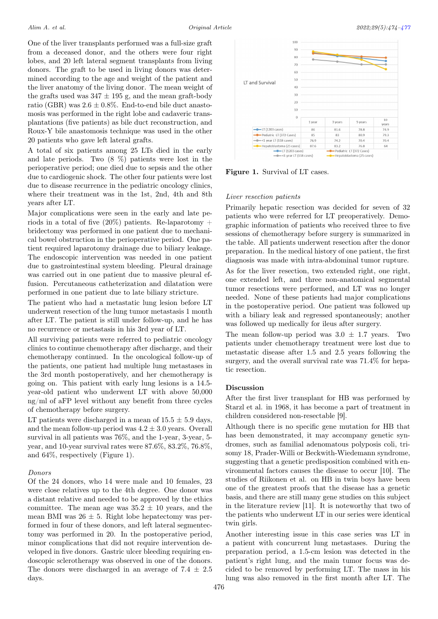One of the liver transplants performed was a full-size graft from a deceased donor, and the others were four right lobes, and 20 left lateral segment transplants from living donors. The graft to be used in living donors was determined according to the age and weight of the patient and the liver anatomy of the living donor. The mean weight of the grafts used was  $347 \pm 195$  g, and the mean graft-body ratio (GBR) was  $2.6 \pm 0.8\%$ . End-to-end bile duct anastomosis was performed in the right lobe and cadaveric transplantations (five patients) as bile duct reconstruction, and Roux-Y bile anastomosis technique was used in the other 20 patients who gave left lateral grafts.

A total of six patients among 25 LTs died in the early and late periods. Two (8 %) patients were lost in the perioperative period; one died due to sepsis and the other due to cardiogenic shock. The other four patients were lost due to disease recurrence in the pediatric oncology clinics, where their treatment was in the 1st, 2nd, 4th and 8th years after LT.

Major complications were seen in the early and late periods in a total of five  $(20\%)$  patients. Re-laparotomy + bridectomy was performed in one patient due to mechanical bowel obstruction in the perioperative period. One patient required laparotomy drainage due to biliary leakage. The endoscopic intervention was needed in one patient due to gastrointestinal system bleeding. Pleural drainage was carried out in one patient due to massive pleural effusion. Percutaneous catheterization and dilatation were performed in one patient due to late biliary stricture.

The patient who had a metastatic lung lesion before LT underwent resection of the lung tumor metastasis 1 month after LT. The patient is still under follow-up, and he has no recurrence or metastasis in his 3rd year of LT.

All surviving patients were referred to pediatric oncology clinics to continue chemotherapy after discharge, and their chemotherapy continued. In the oncological follow-up of the patients, one patient had multiple lung metastases in the 3rd month postoperatively, and her chemotherapy is going on. This patient with early lung lesions is a 14.5 year-old patient who underwent LT with above 50,000 ng/ml of aFP level without any benefit from three cycles of chemotherapy before surgery.

LT patients were discharged in a mean of  $15.5 \pm 5.9$  days, and the mean follow-up period was  $4.2 \pm 3.0$  years. Overall survival in all patients was 76%, and the 1-year, 3-year, 5 year, and 10-year survival rates were 87.6%, 83.2%, 76.8%, and 64%, respectively (Figure 1).

#### Donors

Of the 24 donors, who 14 were male and 10 females, 23 were close relatives up to the 4th degree. One donor was a distant relative and needed to be approved by the ethics committee. The mean age was  $35.2 \pm 10$  years, and the mean BMI was  $26 \pm 5$ . Right lobe hepatectomy was performed in four of these donors, and left lateral segmentectomy was performed in 20. In the postoperative period, minor complications that did not require intervention developed in five donors. Gastric ulcer bleeding requiring endoscopic sclerotherapy was observed in one of the donors. The donors were discharged in an average of  $7.4 \pm 2.5$ days.

<span id="page-2-0"></span>

Figure 1. Survival of LT cases.

## Liver resection patients

Primarily hepatic resection was decided for seven of 32 patients who were referred for LT preoperatively. Demographic information of patients who received three to five sessions of chemotherapy before surgery is summarized in the table. All patients underwent resection after the donor preparation. In the medical history of one patient, the first diagnosis was made with intra-abdominal tumor rupture.

As for the liver resection, two extended right, one right, one extended left, and three non-anatomical segmental tumor resections were performed, and LT was no longer needed. None of these patients had major complications in the postoperative period. One patient was followed up with a biliary leak and regressed spontaneously; another was followed up medically for ileus after surgery.

The mean follow-up period was  $3.0 \pm 1.7$  years. Two patients under chemotherapy treatment were lost due to metastatic disease after 1.5 and 2.5 years following the surgery, and the overall survival rate was 71.4% for hepatic resection.

## Discussion

After the first liver transplant for HB was performed by Starzl et al. in 1968, it has become a part of treatment in children considered non-resectable [9].

Although there is no specific gene mutation for HB that has been demonstrated, it may accompany genetic syndromes, such as familial adenomatous polyposis coli, trisomy 18, Prader-Willi or Beckwith-Wiedemann syndrome, suggesting that a genetic predisposition combined with environmental factors causes the disease to occur [10]. The studies of Riikonen et al. on HB in twin boys have been one of the greatest proofs that the disease has a genetic basis, and there are still many gene studies on this subject in the literature review [11]. It is noteworthy that two of the patients who underwent LT in our series were identical twin girls.

Another interesting issue in this case series was LT in a patient with concurrent lung metastases. During the preparation period, a 1.5-cm lesion was detected in the patient's right lung, and the main tumor focus was decided to be removed by performing LT. The mass in his lung was also removed in the first month after LT. The